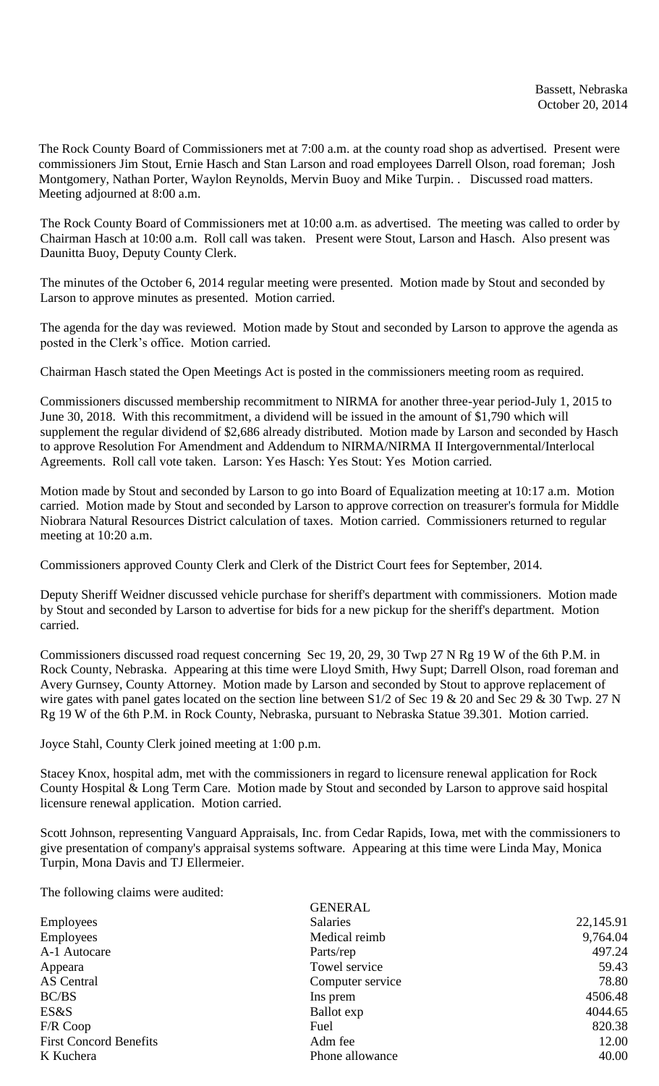The Rock County Board of Commissioners met at 7:00 a.m. at the county road shop as advertised. Present were commissioners Jim Stout, Ernie Hasch and Stan Larson and road employees Darrell Olson, road foreman; Josh Montgomery, Nathan Porter, Waylon Reynolds, Mervin Buoy and Mike Turpin. . Discussed road matters. Meeting adjourned at 8:00 a.m.

The Rock County Board of Commissioners met at 10:00 a.m. as advertised. The meeting was called to order by Chairman Hasch at 10:00 a.m. Roll call was taken. Present were Stout, Larson and Hasch. Also present was Daunitta Buoy, Deputy County Clerk.

The minutes of the October 6, 2014 regular meeting were presented. Motion made by Stout and seconded by Larson to approve minutes as presented. Motion carried.

The agenda for the day was reviewed. Motion made by Stout and seconded by Larson to approve the agenda as posted in the Clerk's office. Motion carried.

Chairman Hasch stated the Open Meetings Act is posted in the commissioners meeting room as required.

Commissioners discussed membership recommitment to NIRMA for another three-year period-July 1, 2015 to June 30, 2018. With this recommitment, a dividend will be issued in the amount of \$1,790 which will supplement the regular dividend of \$2,686 already distributed. Motion made by Larson and seconded by Hasch to approve Resolution For Amendment and Addendum to NIRMA/NIRMA II Intergovernmental/Interlocal Agreements. Roll call vote taken. Larson: Yes Hasch: Yes Stout: Yes Motion carried.

Motion made by Stout and seconded by Larson to go into Board of Equalization meeting at 10:17 a.m. Motion carried. Motion made by Stout and seconded by Larson to approve correction on treasurer's formula for Middle Niobrara Natural Resources District calculation of taxes. Motion carried. Commissioners returned to regular meeting at 10:20 a.m.

Commissioners approved County Clerk and Clerk of the District Court fees for September, 2014.

Deputy Sheriff Weidner discussed vehicle purchase for sheriff's department with commissioners. Motion made by Stout and seconded by Larson to advertise for bids for a new pickup for the sheriff's department. Motion carried.

Commissioners discussed road request concerning Sec 19, 20, 29, 30 Twp 27 N Rg 19 W of the 6th P.M. in Rock County, Nebraska. Appearing at this time were Lloyd Smith, Hwy Supt; Darrell Olson, road foreman and Avery Gurnsey, County Attorney. Motion made by Larson and seconded by Stout to approve replacement of wire gates with panel gates located on the section line between S1/2 of Sec 19 & 20 and Sec 29 & 30 Twp. 27 N Rg 19 W of the 6th P.M. in Rock County, Nebraska, pursuant to Nebraska Statue 39.301. Motion carried.

Joyce Stahl, County Clerk joined meeting at 1:00 p.m.

Stacey Knox, hospital adm, met with the commissioners in regard to licensure renewal application for Rock County Hospital & Long Term Care. Motion made by Stout and seconded by Larson to approve said hospital licensure renewal application. Motion carried.

Scott Johnson, representing Vanguard Appraisals, Inc. from Cedar Rapids, Iowa, met with the commissioners to give presentation of company's appraisal systems software. Appearing at this time were Linda May, Monica Turpin, Mona Davis and TJ Ellermeier.

The following claims were audited:

| <b>GENERAL</b>   |           |
|------------------|-----------|
| <b>Salaries</b>  | 22,145.91 |
| Medical reimb    | 9,764.04  |
| Parts/rep        | 497.24    |
| Towel service    | 59.43     |
| Computer service | 78.80     |
| Ins prem         | 4506.48   |
| Ballot exp       | 4044.65   |
| Fuel             | 820.38    |
| Adm fee          | 12.00     |
| Phone allowance  | 40.00     |
|                  |           |